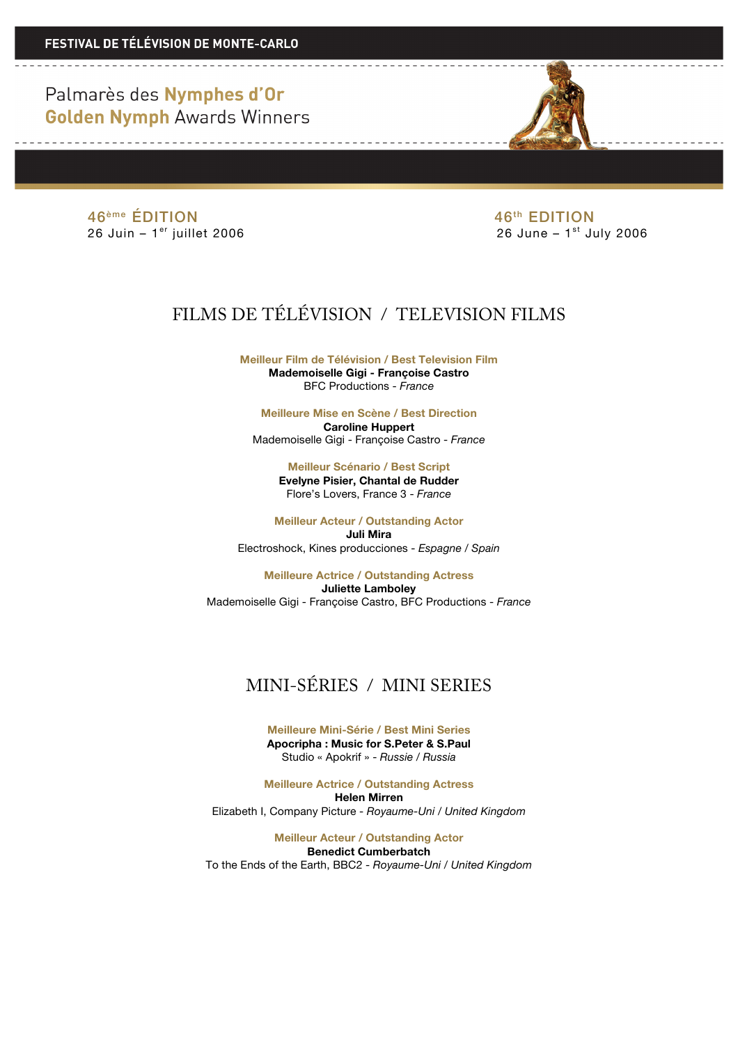> 46<sup>ème</sup> ÉDITION 46<sup>th</sup> EDITION  $26$  Juin –  $1<sup>er</sup>$  juillet 2006

# FILMS DE TÉLÉVISION / TELEVISION FILMS

**Meilleur Film de Télévision / Best Television Film Mademoiselle Gigi - Françoise Castro** BFC Productions - *France*

**Meilleure Mise en Scène / Best Direction Caroline Huppert** Mademoiselle Gigi - Françoise Castro - *France*

> **Meilleur Scénario / Best Script Evelyne Pisier, Chantal de Rudder** Flore's Lovers, France 3 - *France*

**Meilleur Acteur / Outstanding Actor Juli Mira** Electroshock, Kines producciones - *Espagne* / *Spain*

**Meilleure Actrice / Outstanding Actress Juliette Lamboley** Mademoiselle Gigi - Françoise Castro, BFC Productions - *France*

# MINI-SÉRIES / MINI SERIES

**Meilleure Mini-Série / Best Mini Series Apocripha : Music for S.Peter & S.Paul** Studio « Apokrif » - *Russie / Russia*

**Meilleure Actrice / Outstanding Actress Helen Mirren** Elizabeth I, Company Picture - *Royaume-Uni / United Kingdom* 

**Meilleur Acteur / Outstanding Actor Benedict Cumberbatch** To the Ends of the Earth, BBC2 - *Royaume-Uni / United Kingdom*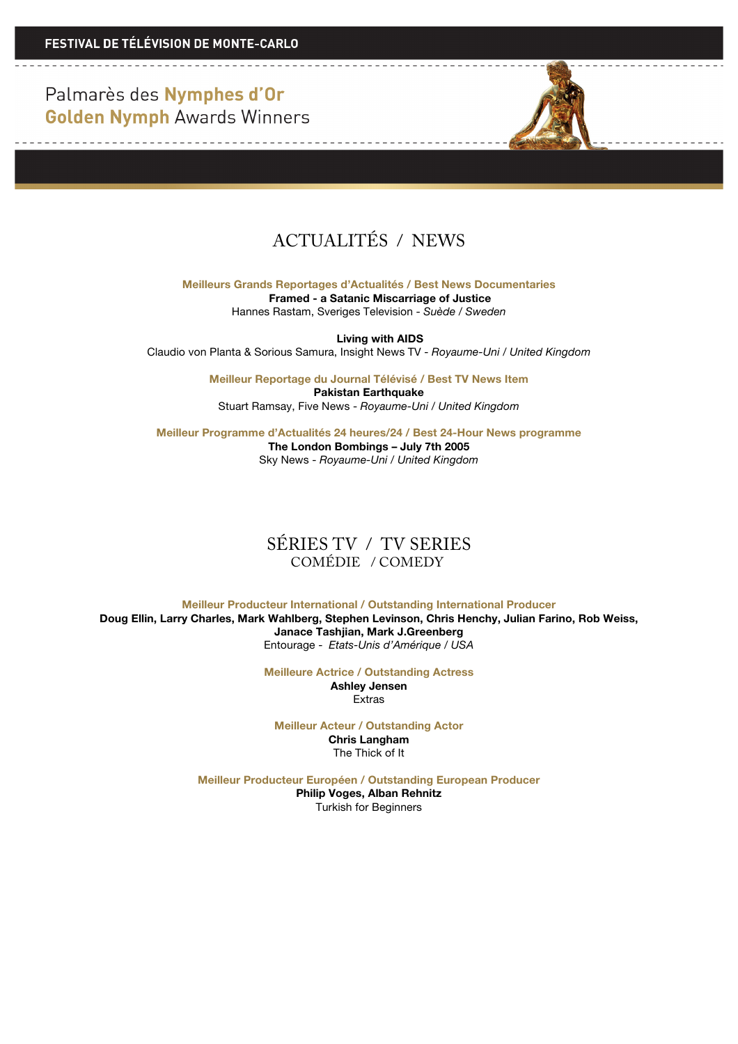<u> 1950 - La Carlo Barbara, p</u>



**Meilleurs Grands Reportages d'Actualités / Best News Documentaries Framed - a Satanic Miscarriage of Justice** Hannes Rastam, Sveriges Television - *Suède* / *Sweden*

**Living with AIDS** Claudio von Planta & Sorious Samura, Insight News TV - *Royaume-Uni / United Kingdom*

> **Meilleur Reportage du Journal Télévisé / Best TV News Item Pakistan Earthquake** Stuart Ramsay, Five News - *Royaume-Uni / United Kingdom*

**Meilleur Programme d'Actualités 24 heures/24 / Best 24-Hour News programme The London Bombings – July 7th 2005** Sky News - *Royaume-Uni / United Kingdom*

#### SÉRIES TV / TV SERIES COMÉDIE / COMEDY

**Meilleur Producteur International / Outstanding International Producer Doug Ellin, Larry Charles, Mark Wahlberg, Stephen Levinson, Chris Henchy, Julian Farino, Rob Weiss, Janace Tashjian, Mark J.Greenberg**  Entourage - *Etats-Unis d'Amérique / USA*

**Meilleure Actrice / Outstanding Actress**

**Ashley Jensen** Extras

**Meilleur Acteur / Outstanding Actor Chris Langham** The Thick of It

**Meilleur Producteur Européen / Outstanding European Producer Philip Voges, Alban Rehnitz** Turkish for Beginners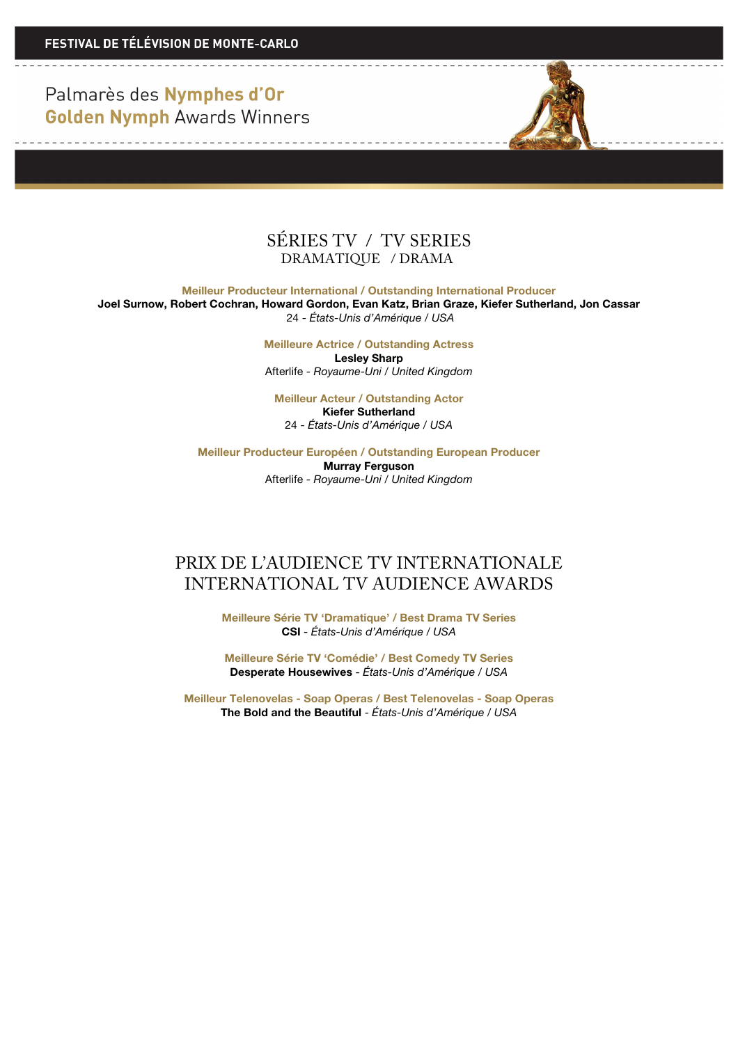

**Meilleur Producteur International / Outstanding International Producer**

**Joel Surnow, Robert Cochran, Howard Gordon, Evan Katz, Brian Graze, Kiefer Sutherland, Jon Cassar**  24 - *États-Unis d'Amérique / USA*

> **Meilleure Actrice / Outstanding Actress Lesley Sharp** Afterlife - *Royaume-Uni / United Kingdom*

**Meilleur Acteur / Outstanding Actor Kiefer Sutherland** 24 - *États-Unis d'Amérique / USA*

**Meilleur Producteur Européen / Outstanding European Producer Murray Ferguson** Afterlife - *Royaume-Uni / United Kingdom*

### PRIX DE L'AUDIENCE TV INTERNATIONALE INTERNATIONAL TV AUDIENCE AWARDS

**Meilleure Série TV 'Dramatique' / Best Drama TV Series CSI** - *États-Unis d'Amérique / USA*

**Meilleure Série TV 'Comédie' / Best Comedy TV Series Desperate Housewives** - *États-Unis d'Amérique / USA*

**Meilleur Telenovelas - Soap Operas / Best Telenovelas - Soap Operas The Bold and the Beautiful** - *États-Unis d'Amérique / USA*